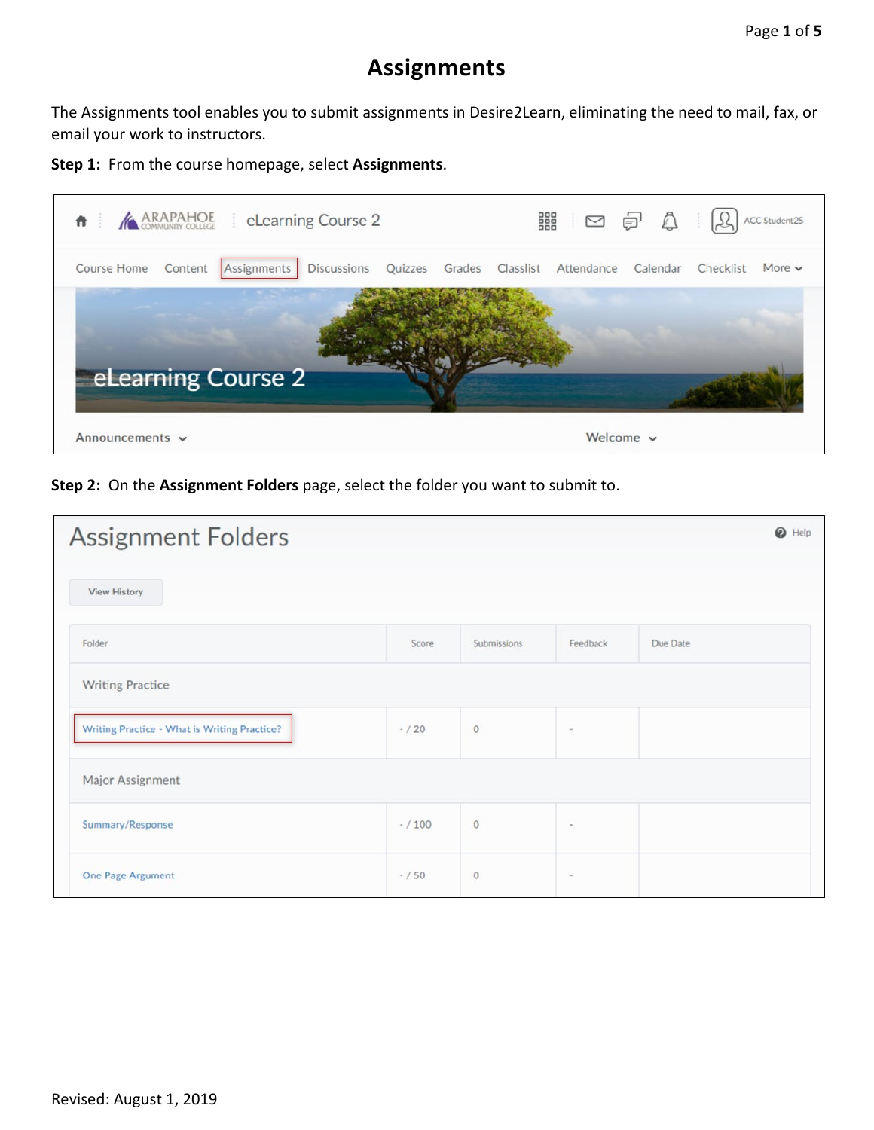## **Assignments**

The Assignments tool enables you to submit assignments in Desire2Learn, eliminating the need to mail, fax, or email your work to instructors.

**Step 1:** From the course homepage, select **Assignments**.



**Step 2:** On the **Assignment Folders** page, select the folder you want to submit to.

| <b>Assignment Folders</b>                    |           |             |          | 0<br>Help |
|----------------------------------------------|-----------|-------------|----------|-----------|
| <b>View History</b>                          |           |             |          |           |
| Folder                                       | Score     | Submissions | Feedback | Due Date  |
| <b>Writing Practice</b>                      |           |             |          |           |
| Writing Practice - What is Writing Practice? | $- / 20$  | $\circ$     | $\sim$   |           |
| Major Assignment                             |           |             |          |           |
| Summary/Response                             | $- / 100$ | $\circ$     | $\sim$   |           |
| One Page Argument                            | $-/50$    | $\circ$     | $\sim$   |           |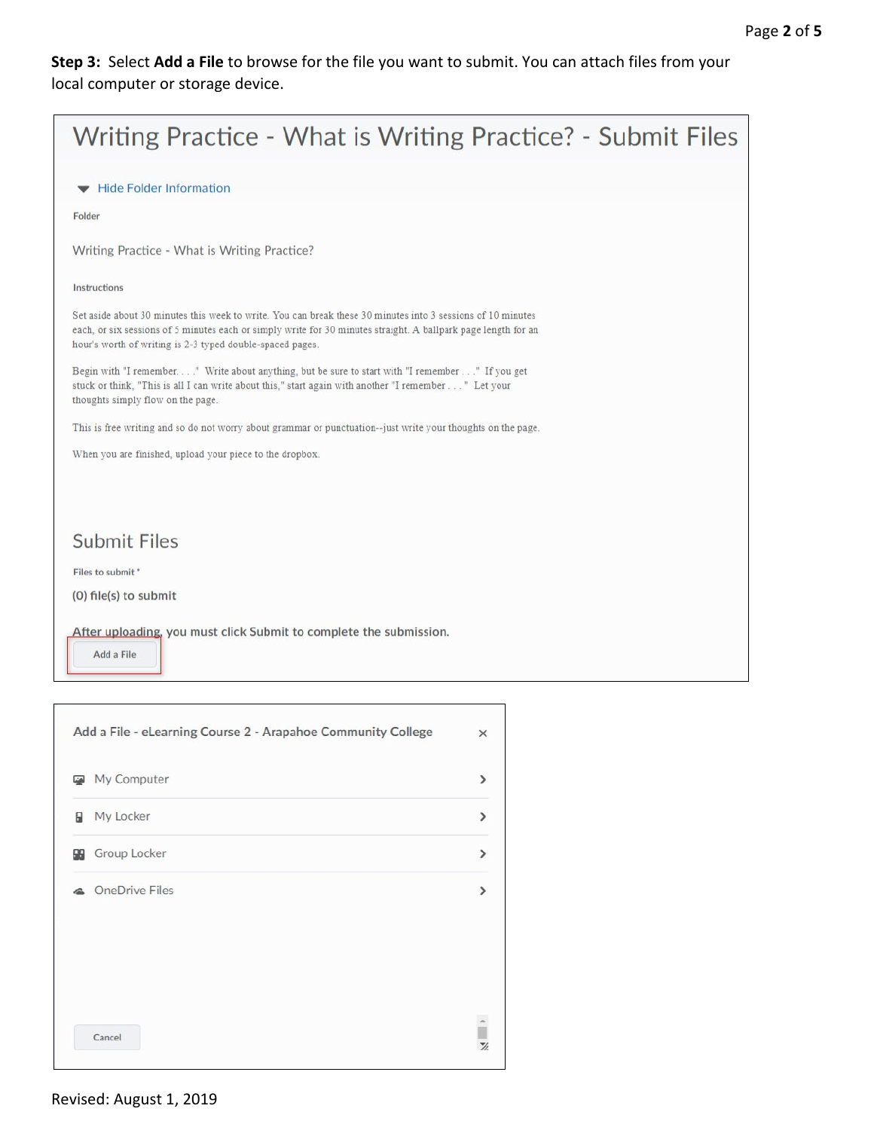**Step 3:** Select **Add a File** to browse for the file you want to submit. You can attach files from your local computer or storage device.



|   | My Computer            | ⋗                  |
|---|------------------------|--------------------|
| в | My Locker              | ⋋                  |
|   | <b>SE</b> Group Locker | >                  |
|   | © OneDrive Files       |                    |
|   | Cancel                 | Ĥ<br>$\frac{1}{2}$ |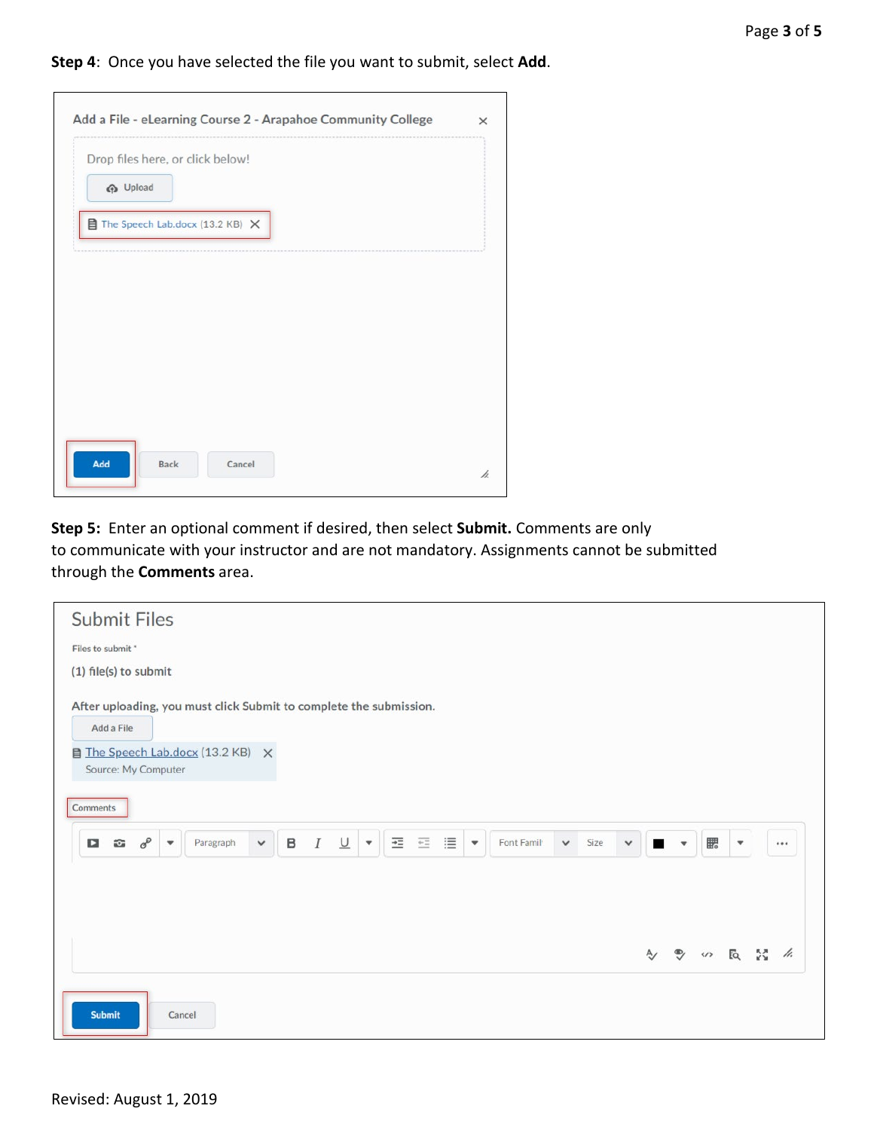**Step 4**: Once you have selected the file you want to submit, select **Add**.

| <b>P</b> Upload | Drop files here, or click below! |  |
|-----------------|----------------------------------|--|
|                 | The Speech Lab.docx (13.2 KB) X  |  |
|                 |                                  |  |
|                 |                                  |  |
|                 |                                  |  |
|                 |                                  |  |

**Step 5:** Enter an optional comment if desired, then select **Submit.** Comments are only to communicate with your instructor and are not mandatory. Assignments cannot be submitted through the **Comments** area.

| <b>Submit Files</b>                                                                                                                                                                                                                                                                         |   |                      |                          |  |    |
|---------------------------------------------------------------------------------------------------------------------------------------------------------------------------------------------------------------------------------------------------------------------------------------------|---|----------------------|--------------------------|--|----|
| Files to submit *                                                                                                                                                                                                                                                                           |   |                      |                          |  |    |
| (1) file(s) to submit                                                                                                                                                                                                                                                                       |   |                      |                          |  |    |
| After uploading, you must click Submit to complete the submission.<br>Add a File                                                                                                                                                                                                            |   |                      |                          |  |    |
| The Speech Lab.docx (13.2 KB) X<br>Source: My Computer                                                                                                                                                                                                                                      |   |                      |                          |  |    |
| Comments                                                                                                                                                                                                                                                                                    |   |                      |                          |  |    |
| $\overline{+}\Xi$<br>這<br>$\overline{+}\, \Xi$<br>$\sigma^{\!\mathcal{O}}$<br>$\underline{\cup}$<br>B<br>$\boldsymbol{I}$<br>Font Famil<br>Size<br>$\mathbf{z}$<br>$\circ$<br>Paragraph<br>$\checkmark$<br>$\checkmark$<br>$\blacktriangledown$<br>$\blacktriangledown$<br>٠<br>$\check{~}$ | п | $\mathbf{v}$         | 騦                        |  |    |
|                                                                                                                                                                                                                                                                                             |   |                      |                          |  |    |
|                                                                                                                                                                                                                                                                                             |   |                      |                          |  |    |
|                                                                                                                                                                                                                                                                                             | A | $\ddot{\mathcal{D}}$ | $\omega$ is $\mathbb{R}$ |  | h. |
|                                                                                                                                                                                                                                                                                             |   |                      |                          |  |    |
| <b>Submit</b><br>Cancel                                                                                                                                                                                                                                                                     |   |                      |                          |  |    |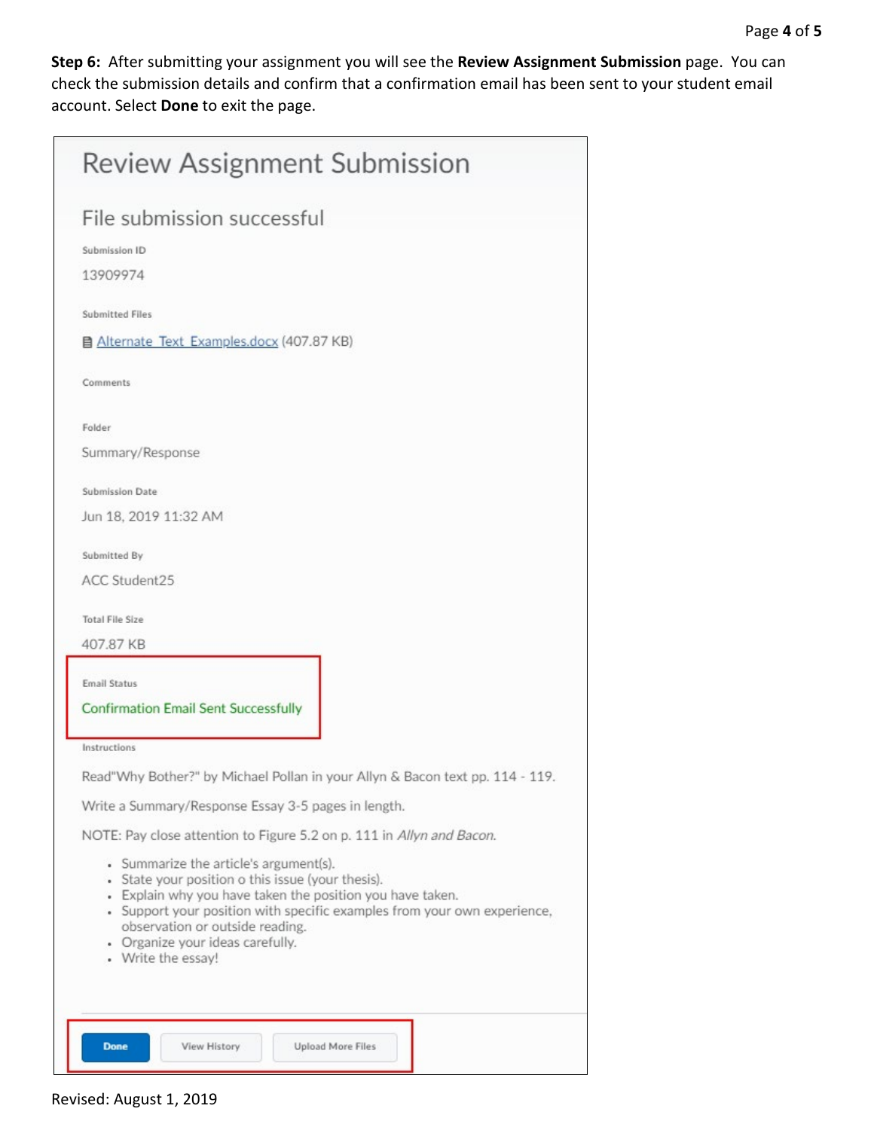**Step 6:** After submitting your assignment you will see the **Review Assignment Submission** page. You can check the submission details and confirm that a confirmation email has been sent to your student email account. Select **Done** to exit the page.

| <b>Review Assignment Submission</b>                                                                                                                                                                                                                                                                                               |
|-----------------------------------------------------------------------------------------------------------------------------------------------------------------------------------------------------------------------------------------------------------------------------------------------------------------------------------|
| File submission successful<br>Submission ID                                                                                                                                                                                                                                                                                       |
| 13909974                                                                                                                                                                                                                                                                                                                          |
| Submitted Files<br>■ Alternate Text Examples.docx (407.87 KB)                                                                                                                                                                                                                                                                     |
| Comments                                                                                                                                                                                                                                                                                                                          |
| Folder<br>Summary/Response                                                                                                                                                                                                                                                                                                        |
| <b>Submission Date</b><br>Jun 18, 2019 11:32 AM                                                                                                                                                                                                                                                                                   |
| Submitted By<br>ACC Student25                                                                                                                                                                                                                                                                                                     |
| <b>Total File Size</b><br>407.87 KB                                                                                                                                                                                                                                                                                               |
| Email Status<br><b>Confirmation Email Sent Successfully</b>                                                                                                                                                                                                                                                                       |
| Instructions                                                                                                                                                                                                                                                                                                                      |
| Read"Why Bother?" by Michael Pollan in your Allyn & Bacon text pp. 114 - 119.                                                                                                                                                                                                                                                     |
| Write a Summary/Response Essay 3-5 pages in length.                                                                                                                                                                                                                                                                               |
| NOTE: Pay close attention to Figure 5.2 on p. 111 in Allyn and Bacon.                                                                                                                                                                                                                                                             |
| • Summarize the article's argument(s).<br>• State your position o this issue (your thesis).<br>• Explain why you have taken the position you have taken.<br>• Support your position with specific examples from your own experience,<br>observation or outside reading.<br>• Organize your ideas carefully.<br>• Write the essay! |
| View History<br><b>Upload More Files</b><br><b>Done</b>                                                                                                                                                                                                                                                                           |

Revised: August 1, 2019